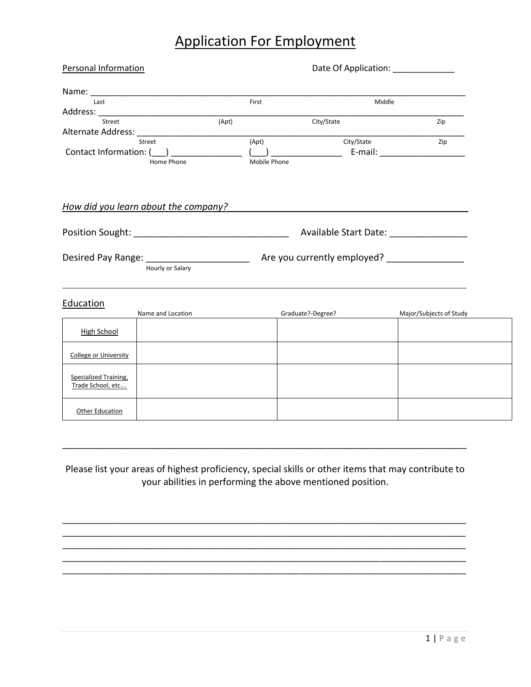## Application For Employment

| (Apt)                                          | First                                  | Middle     |                                                                          |  |
|------------------------------------------------|----------------------------------------|------------|--------------------------------------------------------------------------|--|
|                                                |                                        |            |                                                                          |  |
|                                                |                                        |            |                                                                          |  |
|                                                |                                        |            |                                                                          |  |
|                                                |                                        | City/State | Zip                                                                      |  |
| Alternate Address: National Alternate Address: |                                        |            |                                                                          |  |
| Street                                         | (Apt)                                  | City/State | Zip                                                                      |  |
| Contact Information: (___) __________          |                                        |            | E-mail: E-mail:                                                          |  |
| Home Phone                                     | Mobile Phone                           |            |                                                                          |  |
| How did you learn about the company?           |                                        |            |                                                                          |  |
|                                                | Available Start Date: ________________ |            |                                                                          |  |
| Hourly or Salary                               |                                        |            |                                                                          |  |
|                                                |                                        |            | Major/Subjects of Study                                                  |  |
|                                                |                                        |            |                                                                          |  |
|                                                |                                        |            |                                                                          |  |
|                                                |                                        |            |                                                                          |  |
|                                                |                                        |            |                                                                          |  |
|                                                | Name and Location                      |            | $\left(\begin{array}{ccc} 1 & 1 \end{array}\right)$<br>Graduate?-Degree? |  |

Please list your areas of highest proficiency, special skills or other items that may contribute to your abilities in performing the above mentioned position.

\_\_\_\_\_\_\_\_\_\_\_\_\_\_\_\_\_\_\_\_\_\_\_\_\_\_\_\_\_\_\_\_\_\_\_\_\_\_\_\_\_\_\_\_\_\_\_\_\_\_\_\_\_\_\_\_\_\_\_\_\_\_\_\_\_\_\_\_\_\_\_\_\_\_\_\_\_\_\_\_\_\_\_\_\_ \_\_\_\_\_\_\_\_\_\_\_\_\_\_\_\_\_\_\_\_\_\_\_\_\_\_\_\_\_\_\_\_\_\_\_\_\_\_\_\_\_\_\_\_\_\_\_\_\_\_\_\_\_\_\_\_\_\_\_\_\_\_\_\_\_\_\_\_\_\_\_\_\_\_\_\_\_\_\_\_\_\_\_\_\_ \_\_\_\_\_\_\_\_\_\_\_\_\_\_\_\_\_\_\_\_\_\_\_\_\_\_\_\_\_\_\_\_\_\_\_\_\_\_\_\_\_\_\_\_\_\_\_\_\_\_\_\_\_\_\_\_\_\_\_\_\_\_\_\_\_\_\_\_\_\_\_\_\_\_\_\_\_\_\_\_\_\_\_\_\_ \_\_\_\_\_\_\_\_\_\_\_\_\_\_\_\_\_\_\_\_\_\_\_\_\_\_\_\_\_\_\_\_\_\_\_\_\_\_\_\_\_\_\_\_\_\_\_\_\_\_\_\_\_\_\_\_\_\_\_\_\_\_\_\_\_\_\_\_\_\_\_\_\_\_\_\_\_\_\_\_\_\_\_\_\_ \_\_\_\_\_\_\_\_\_\_\_\_\_\_\_\_\_\_\_\_\_\_\_\_\_\_\_\_\_\_\_\_\_\_\_\_\_\_\_\_\_\_\_\_\_\_\_\_\_\_\_\_\_\_\_\_\_\_\_\_\_\_\_\_\_\_\_\_\_\_\_\_\_\_\_\_\_\_\_\_\_\_\_\_\_